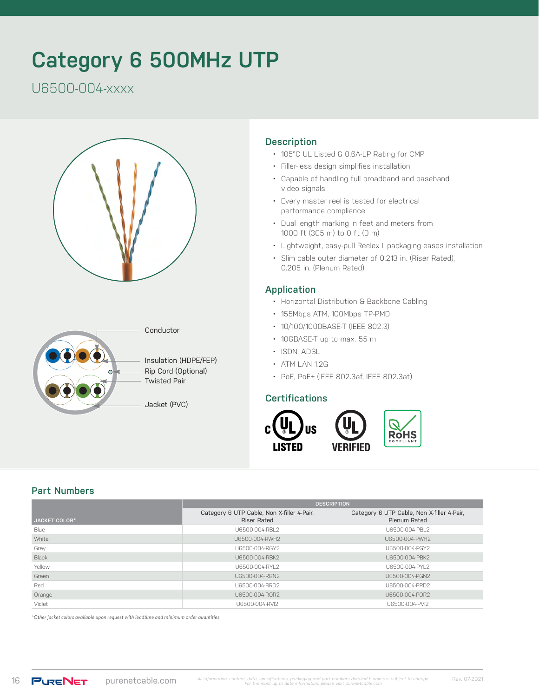# **Category 6 500MHz UTP**

U6500-004-xxxx





#### **Description**

- 105°C UL Listed & 0.6A-LP Rating for CMP
- Filler-less design simplifies installation
- Capable of handling full broadband and baseband video signals
- Every master reel is tested for electrical performance compliance
- Dual length marking in feet and meters from 1000 ft (305 m) to 0 ft (0 m)
- Lightweight, easy-pull Reelex II packaging eases installation
- Slim cable outer diameter of 0.213 in. (Riser Rated), 0.205 in. (Plenum Rated)

#### **Application**

- Horizontal Distribution & Backbone Cabling
- 155Mbps ATM, 100Mbps TP-PMD
- 10/100/1000BASE-T (IEEE 802.3)
- 10GBASE-T up to max. 55 m
- ISDN, ADSL
- ATM LAN 1.2G
- PoE, PoE+ (IEEE 802.3af, IEEE 802.3at)

#### **Certifications**



#### **Part Numbers**

|                      | <b>DESCRIPTION</b>                                        |                                                            |  |  |  |
|----------------------|-----------------------------------------------------------|------------------------------------------------------------|--|--|--|
| <b>JACKET COLOR*</b> | Category 6 UTP Cable, Non X-filler 4-Pair,<br>Riser Rated | Category 6 UTP Cable, Non X-filler 4-Pair,<br>Plenum Rated |  |  |  |
| Blue                 | U6500-004-RBL2                                            | U6500-004-PBL2                                             |  |  |  |
| White                | U6500-004-RWH2                                            | U6500-004-PWH2                                             |  |  |  |
| Grey                 | U6500-004-RGY2                                            | U6500-004-PGY2                                             |  |  |  |
| Black                | U6500-004-RBK2                                            | U6500-004-PBK2                                             |  |  |  |
| Yellow               | U6500-004-RYL2                                            | U6500-004-PYL2                                             |  |  |  |
| Green                | U6500-004-RGN2                                            | U6500-004-PGN2                                             |  |  |  |
| Red                  | U6500-004-RRD2                                            | U6500-004-PRD2                                             |  |  |  |
| Orange               | U6500-004-ROR2                                            | U6500-004-POR2                                             |  |  |  |
| Violet               | U6500-004-RVI2                                            | U6500-004-PVI2                                             |  |  |  |

*\*Other jacket colors available upon request with leadtime and minimum order quantities*